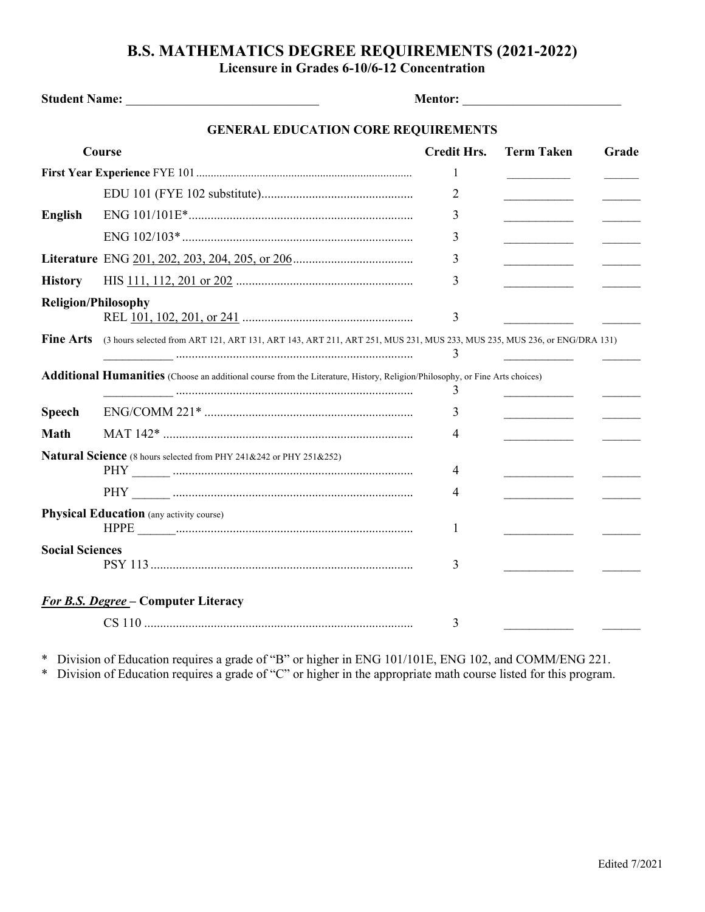## **B.S. MATHEMATICS DEGREE REQUIREMENTS (2021-2022) Licensure in Grades 6-10/6-12 Concentration**

| Student Name: Name and Student Name and Student Name and Student Name and Student Name and Student Student Student Student Student Student Student Student Student Student Student Student Student Student Student Student Stu |                                                                                                                                    |                    | Mentor: New York Street, New York Street, New York Street, New York Street, New York Street, New York Street, New York Street, New York Street, New York Street, New York Street, New York Street, New York Street, New York S |       |  |  |  |  |
|--------------------------------------------------------------------------------------------------------------------------------------------------------------------------------------------------------------------------------|------------------------------------------------------------------------------------------------------------------------------------|--------------------|--------------------------------------------------------------------------------------------------------------------------------------------------------------------------------------------------------------------------------|-------|--|--|--|--|
| <b>GENERAL EDUCATION CORE REQUIREMENTS</b>                                                                                                                                                                                     |                                                                                                                                    |                    |                                                                                                                                                                                                                                |       |  |  |  |  |
| Course                                                                                                                                                                                                                         |                                                                                                                                    | <b>Credit Hrs.</b> | <b>Term Taken</b>                                                                                                                                                                                                              | Grade |  |  |  |  |
|                                                                                                                                                                                                                                |                                                                                                                                    | 1                  |                                                                                                                                                                                                                                |       |  |  |  |  |
|                                                                                                                                                                                                                                |                                                                                                                                    | 2                  |                                                                                                                                                                                                                                |       |  |  |  |  |
| <b>English</b>                                                                                                                                                                                                                 |                                                                                                                                    | 3                  |                                                                                                                                                                                                                                |       |  |  |  |  |
|                                                                                                                                                                                                                                |                                                                                                                                    | 3                  |                                                                                                                                                                                                                                |       |  |  |  |  |
|                                                                                                                                                                                                                                |                                                                                                                                    | 3                  |                                                                                                                                                                                                                                |       |  |  |  |  |
| <b>History</b>                                                                                                                                                                                                                 |                                                                                                                                    | 3                  |                                                                                                                                                                                                                                |       |  |  |  |  |
| <b>Religion/Philosophy</b>                                                                                                                                                                                                     |                                                                                                                                    | 3                  |                                                                                                                                                                                                                                |       |  |  |  |  |
| <b>Fine Arts</b>                                                                                                                                                                                                               | (3 hours selected from ART 121, ART 131, ART 143, ART 211, ART 251, MUS 231, MUS 233, MUS 235, MUS 236, or ENG/DRA 131)            | 3                  |                                                                                                                                                                                                                                |       |  |  |  |  |
|                                                                                                                                                                                                                                | <b>Additional Humanities</b> (Choose an additional course from the Literature, History, Religion/Philosophy, or Fine Arts choices) | 3                  |                                                                                                                                                                                                                                |       |  |  |  |  |
| <b>Speech</b>                                                                                                                                                                                                                  |                                                                                                                                    | 3                  |                                                                                                                                                                                                                                |       |  |  |  |  |
| <b>Math</b>                                                                                                                                                                                                                    |                                                                                                                                    | 4                  |                                                                                                                                                                                                                                |       |  |  |  |  |
|                                                                                                                                                                                                                                | Natural Science (8 hours selected from PHY 241&242 or PHY 251&252)                                                                 | 4                  |                                                                                                                                                                                                                                |       |  |  |  |  |
|                                                                                                                                                                                                                                |                                                                                                                                    | 4                  |                                                                                                                                                                                                                                |       |  |  |  |  |
| <b>Physical Education</b> (any activity course)                                                                                                                                                                                |                                                                                                                                    | 1                  |                                                                                                                                                                                                                                |       |  |  |  |  |
| <b>Social Sciences</b>                                                                                                                                                                                                         |                                                                                                                                    | 3                  |                                                                                                                                                                                                                                |       |  |  |  |  |
| For B.S. Degree - Computer Literacy<br>3                                                                                                                                                                                       |                                                                                                                                    |                    |                                                                                                                                                                                                                                |       |  |  |  |  |

\* Division of Education requires a grade of "B" or higher in ENG 101/101E, ENG 102, and COMM/ENG 221.

\* Division of Education requires a grade of "C" or higher in the appropriate math course listed for this program.